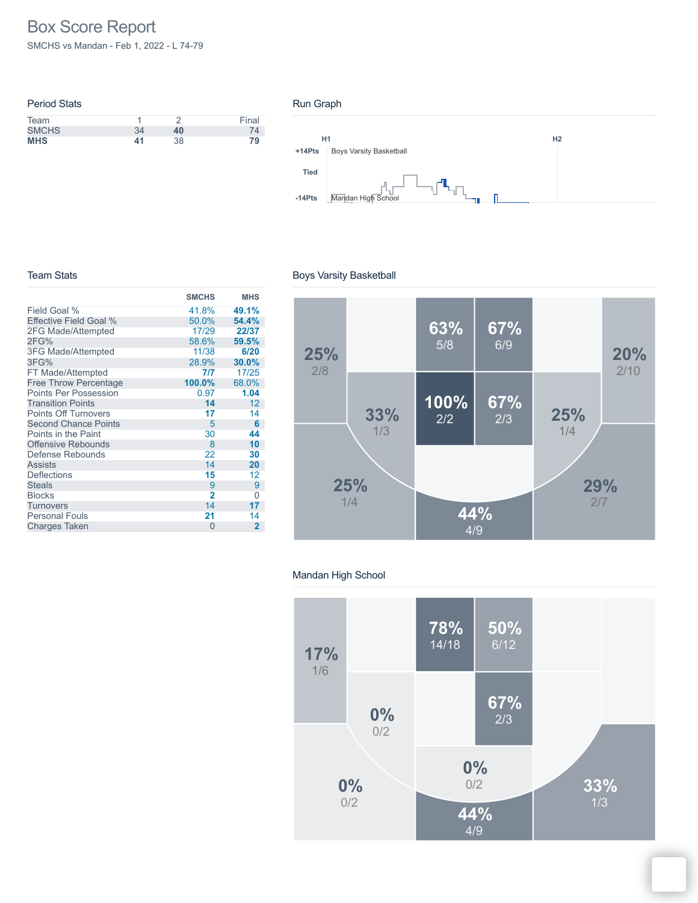# Box Score Report

SMCHS vs Mandan - Feb 1, 2022 - L 74-79

| <b>Period Stats</b> |    |    |       |
|---------------------|----|----|-------|
| Team                |    |    | Final |
| <b>SMCHS</b>        | 34 | 40 |       |
| <b>MHS</b>          | 41 | 38 | 79    |
|                     |    |    |       |

#### Run Graph



#### Team Stats

|                              | <b>SMCHS</b>   | <b>MHS</b>     |
|------------------------------|----------------|----------------|
| Field Goal %                 | 41.8%          | 49.1%          |
| Effective Field Goal %       | 50.0%          | 54.4%          |
| 2FG Made/Attempted           | 17/29          | 22/37          |
| 2FG%                         | 58.6%          | 59.5%          |
| <b>3FG Made/Attempted</b>    | 11/38          | 6/20           |
| 3FG%                         | 28.9%          | 30.0%          |
| FT Made/Attempted            | 7/7            | 17/25          |
| <b>Free Throw Percentage</b> | 100.0%         | 68.0%          |
| <b>Points Per Possession</b> | 0.97           | 1.04           |
| <b>Transition Points</b>     | 14             | 12             |
| <b>Points Off Turnovers</b>  | 17             | 14             |
| <b>Second Chance Points</b>  | 5              | 6              |
| Points in the Paint          | 30             | 44             |
| <b>Offensive Rebounds</b>    | 8              | 10             |
| Defense Rebounds             | 22             | 30             |
| <b>Assists</b>               | 14             | 20             |
| <b>Deflections</b>           | 15             | 12             |
| <b>Steals</b>                | 9              | 9              |
| <b>Blocks</b>                | $\overline{2}$ | 0              |
| Turnovers                    | 14             | 17             |
| <b>Personal Fouls</b>        | 21             | 14             |
| <b>Charges Taken</b>         | 0              | $\overline{2}$ |

## Boys Varsity Basketball



## Mandan High School